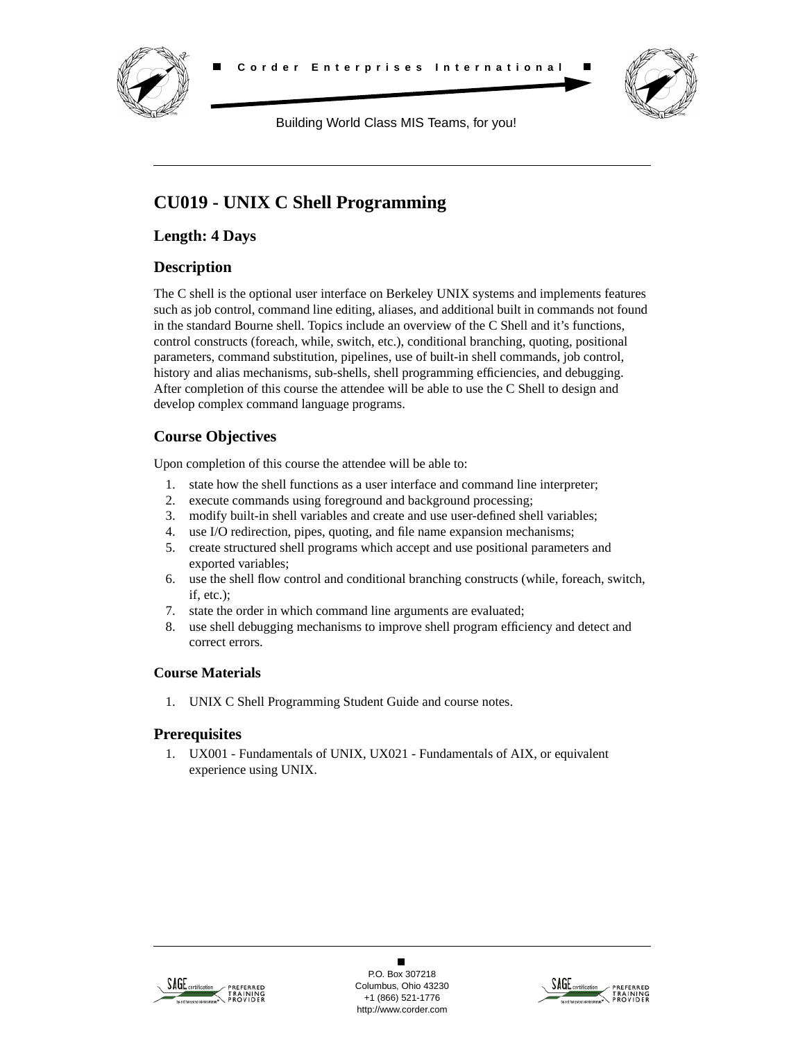



Building World Class MIS Teams, for you!

# **CU019 - UNIX C Shell Programming**

**Length: 4 Days**

# **Description**

The C shell is the optional user interface on Berkeley UNIX systems and implements features such as job control, command line editing, aliases, and additional built in commands not found in the standard Bourne shell. Topics include an overview of the C Shell and it's functions, control constructs (foreach, while, switch, etc.), conditional branching, quoting, positional parameters, command substitution, pipelines, use of built-in shell commands, job control, history and alias mechanisms, sub-shells, shell programming efficiencies, and debugging. After completion of this course the attendee will be able to use the C Shell to design and develop complex command language programs.

# **Course Objectives**

Upon completion of this course the attendee will be able to:

- 1. state how the shell functions as a user interface and command line interpreter;
- 2. execute commands using foreground and background processing;
- 3. modify built-in shell variables and create and use user-defined shell variables;
- 4. use I/O redirection, pipes, quoting, and file name expansion mechanisms;
- 5. create structured shell programs which accept and use positional parameters and exported variables;
- 6. use the shell flow control and conditional branching constructs (while, foreach, switch, if, etc.);
- 7. state the order in which command line arguments are evaluated;
- 8. use shell debugging mechanisms to improve shell program efficiency and detect and correct errors.

### **Course Materials**

1. UNIX C Shell Programming Student Guide and course notes.

## **Prerequisites**

1. UX001 - Fundamentals of UNIX, UX021 - Fundamentals of AIX, or equivalent experience using UNIX.



 $\blacksquare$ P.O. Box 307218 Columbus, Ohio 43230 +1 (866) 521-1776 http://www.corder.com

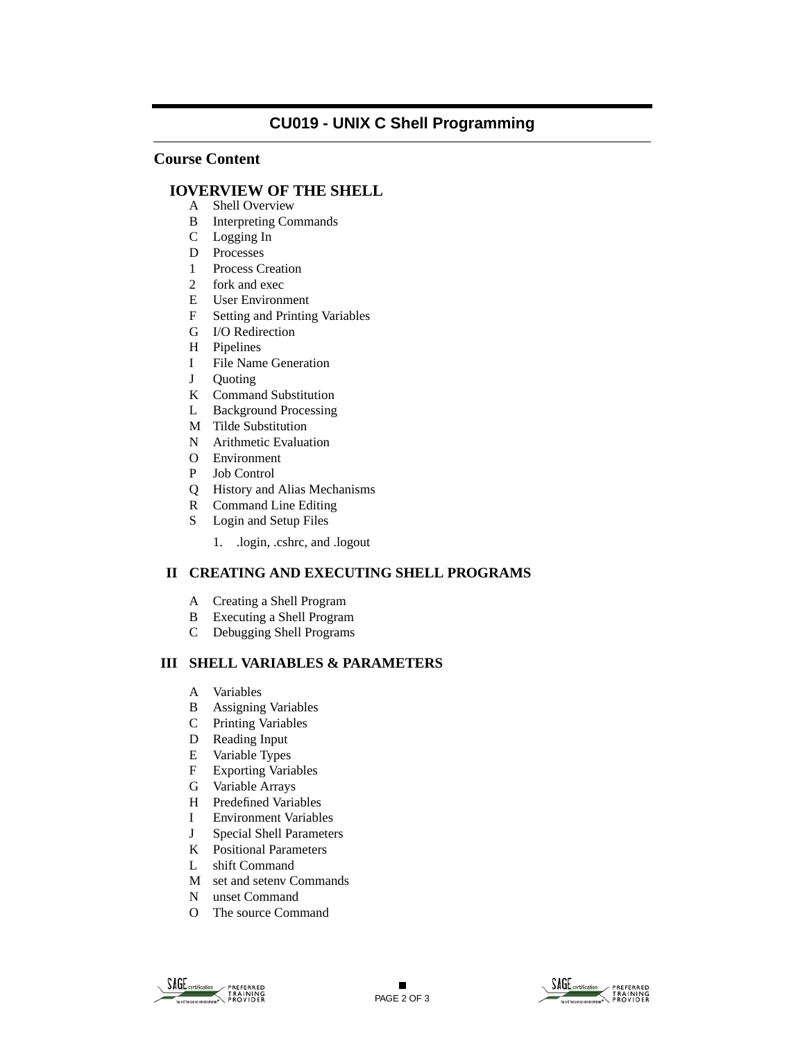## **CU019 - UNIX C Shell Programming**

### **Course Content**

#### **IOVERVIEW OF THE SHELL**

- A Shell Overview
- B Interpreting Commands
- C Logging In
- D Processes
- 1 Process Creation
- 2 fork and exec
- E User Environment
- F Setting and Printing Variables
- G I/O Redirection
- H Pipelines
- I File Name Generation
- J Quoting
- K Command Substitution
- L Background Processing
- M Tilde Substitution
- N Arithmetic Evaluation
- O Environment
- P Job Control
- Q History and Alias Mechanisms
- R Command Line Editing
- S Login and Setup Files
	- 1. .login, .cshrc, and .logout

#### **II CREATING AND EXECUTING SHELL PROGRAMS**

- A Creating a Shell Program
- B Executing a Shell Program
- C Debugging Shell Programs

#### **III SHELL VARIABLES & PARAMETERS**

- A Variables
- B Assigning Variables
- C Printing Variables
- D Reading Input
- E Variable Types<br>F Exporting Varia
- **Exporting Variables**
- G Variable Arrays
- H Predefined Variables<br>I Environment Variable
- **Environment Variables**
- J Special Shell Parameters
- K Positional Parameters
- L shift Command
- M set and setenv Commands
- N unset Command
- O The source Command